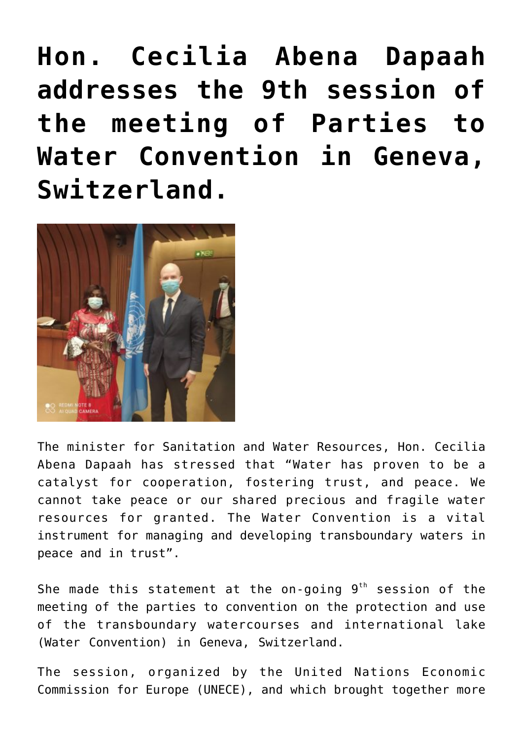**[Hon. Cecilia Abena Dapaah](http://mswr.gov.gh/hon-cecilia-abena-dapaah-addresses-the-9th-session-of-the-meeting-of-parties-to-water-convention-in-geneva-switzerland/) [addresses the 9th session of](http://mswr.gov.gh/hon-cecilia-abena-dapaah-addresses-the-9th-session-of-the-meeting-of-parties-to-water-convention-in-geneva-switzerland/) [the meeting of Parties to](http://mswr.gov.gh/hon-cecilia-abena-dapaah-addresses-the-9th-session-of-the-meeting-of-parties-to-water-convention-in-geneva-switzerland/) [Water Convention in Geneva,](http://mswr.gov.gh/hon-cecilia-abena-dapaah-addresses-the-9th-session-of-the-meeting-of-parties-to-water-convention-in-geneva-switzerland/) [Switzerland.](http://mswr.gov.gh/hon-cecilia-abena-dapaah-addresses-the-9th-session-of-the-meeting-of-parties-to-water-convention-in-geneva-switzerland/)**



The minister for Sanitation and Water Resources, Hon. Cecilia Abena Dapaah has stressed that "Water has proven to be a catalyst for cooperation, fostering trust, and peace. We cannot take peace or our shared precious and fragile water resources for granted. The Water Convention is a vital instrument for managing and developing transboundary waters in peace and in trust".

She made this statement at the on-going  $9<sup>th</sup>$  session of the meeting of the parties to convention on the protection and use of the transboundary watercourses and international lake (Water Convention) in Geneva, Switzerland.

The session, organized by the United Nations Economic Commission for Europe (UNECE), and which brought together more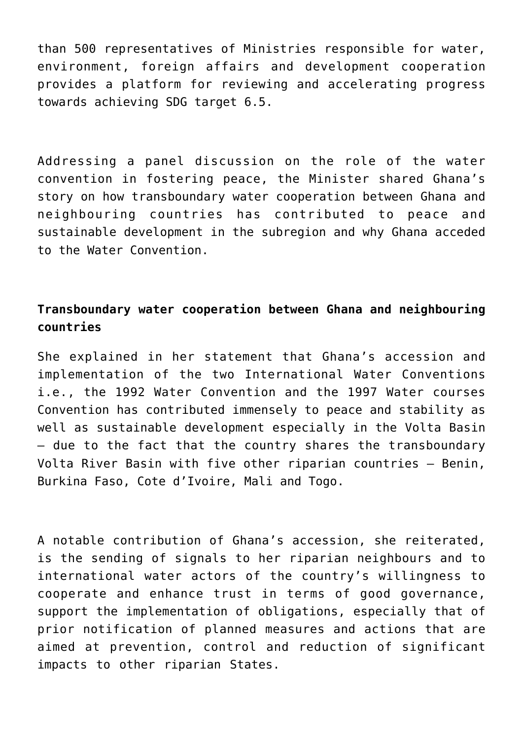than 500 representatives of Ministries responsible for water, environment, foreign affairs and development cooperation provides a platform for reviewing and accelerating progress towards achieving SDG target 6.5.

Addressing a panel discussion on the role of the water convention in fostering peace, the Minister shared Ghana's story on how transboundary water cooperation between Ghana and neighbouring countries has contributed to peace and sustainable development in the subregion and why Ghana acceded to the Water Convention.

## **Transboundary water cooperation between Ghana and neighbouring countries**

She explained in her statement that Ghana's accession and implementation of the two International Water Conventions i.e., the 1992 Water Convention and the 1997 Water courses Convention has contributed immensely to peace and stability as well as sustainable development especially in the Volta Basin – due to the fact that the country shares the transboundary Volta River Basin with five other riparian countries – Benin, Burkina Faso, Cote d'Ivoire, Mali and Togo.

A notable contribution of Ghana's accession, she reiterated, is the sending of signals to her riparian neighbours and to international water actors of the country's willingness to cooperate and enhance trust in terms of good governance, support the implementation of obligations, especially that of prior notification of planned measures and actions that are aimed at prevention, control and reduction of significant impacts to other riparian States.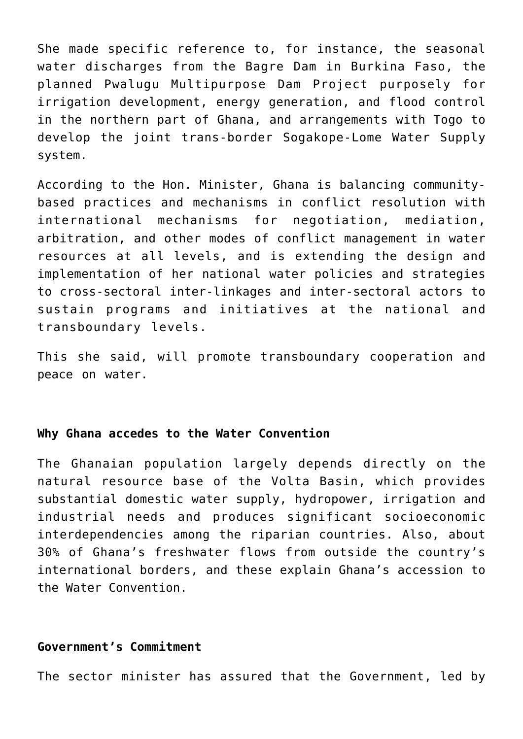She made specific reference to, for instance, the seasonal water discharges from the Bagre Dam in Burkina Faso, the planned Pwalugu Multipurpose Dam Project purposely for irrigation development, energy generation, and flood control in the northern part of Ghana, and arrangements with Togo to develop the joint trans-border Sogakope-Lome Water Supply system.

According to the Hon. Minister, Ghana is balancing communitybased practices and mechanisms in conflict resolution with international mechanisms for negotiation, mediation, arbitration, and other modes of conflict management in water resources at all levels, and is extending the design and implementation of her national water policies and strategies to cross-sectoral inter-linkages and inter-sectoral actors to sustain programs and initiatives at the national and transboundary levels.

This she said, will promote transboundary cooperation and peace on water.

## **Why Ghana accedes to the Water Convention**

The Ghanaian population largely depends directly on the natural resource base of the Volta Basin, which provides substantial domestic water supply, hydropower, irrigation and industrial needs and produces significant socioeconomic interdependencies among the riparian countries. Also, about 30% of Ghana's freshwater flows from outside the country's international borders, and these explain Ghana's accession to the Water Convention.

## **Government's Commitment**

The sector minister has assured that the Government, led by